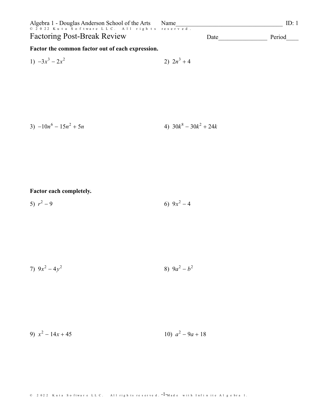| Algebra 1 - Douglas Anderson School of the Arts<br>© 2022 Kuta Software LLC. All rights reserved.<br><b>Factoring Post-Break Review</b> | ID: 1<br>Name            |        |
|-----------------------------------------------------------------------------------------------------------------------------------------|--------------------------|--------|
|                                                                                                                                         | Date                     | Period |
| Factor the common factor out of each expression.                                                                                        |                          |        |
| 1) $-3x^3 - 2x^2$                                                                                                                       | 2) $2n^3 + 4$            |        |
|                                                                                                                                         |                          |        |
|                                                                                                                                         |                          |        |
|                                                                                                                                         |                          |        |
|                                                                                                                                         |                          |        |
| 3) $-10n^6 - 15n^2 + 5n$                                                                                                                | 4) $30k^8 - 30k^2 + 24k$ |        |
|                                                                                                                                         |                          |        |
|                                                                                                                                         |                          |        |
|                                                                                                                                         |                          |        |
|                                                                                                                                         |                          |        |
|                                                                                                                                         |                          |        |
| Factor each completely.                                                                                                                 |                          |        |

5)  $r^2-9$ 6)  $9x^2-4$ 

7)  $9x^2 - 4y^2$ 8)  $9a^2-b^2$ 

9)  $x^2 - 14x + 45$ 10)  $a^2 - 9a + 18$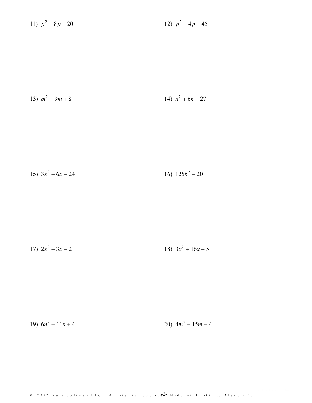11) 
$$
p^2 - 8p - 20
$$
 12)  $p^2 - 4p - 45$ 

13) 
$$
m^2 - 9m + 8
$$
 14)  $n^2 + 6n - 27$ 

15) 
$$
3x^2 - 6x - 24
$$
 16)  $125b^2 - 20$ 

$$
17) \ 2x^2 + 3x - 2 \qquad \qquad 18) \ 3x^2 + 16x + 5
$$

19)  $6n^2 + 11n + 4$ 20)  $4m^2 - 15m - 4$